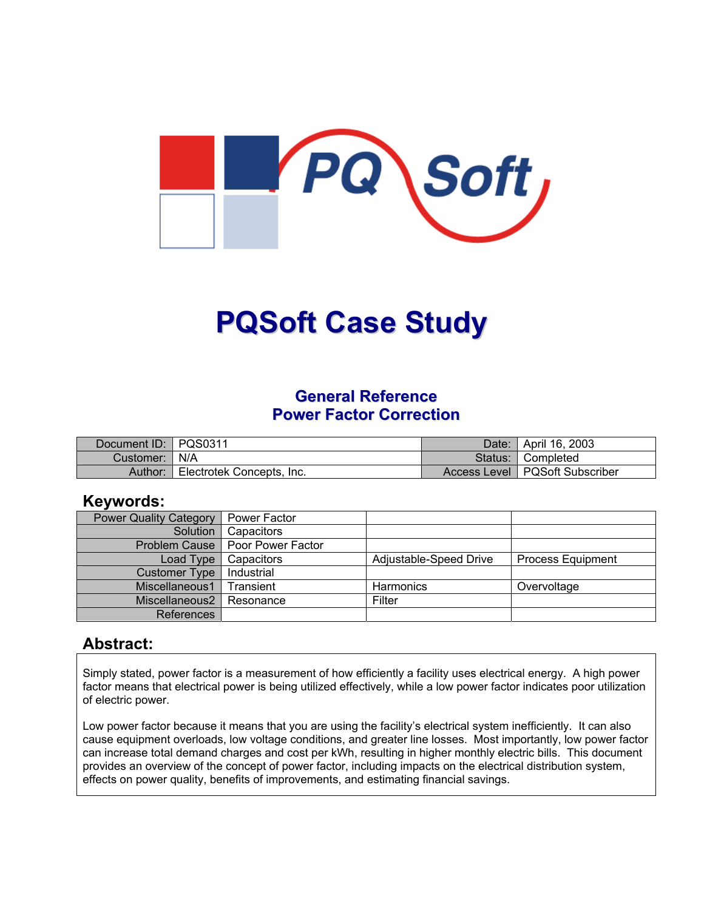

# **PQSoft Case Study**

# **General Reference Power Factor Correction**

| Document ID:   PQS0311 |                           | Date:   April 16, 2003           |
|------------------------|---------------------------|----------------------------------|
| Customer:   N/A        |                           | Status: Completed                |
| Author:                | Electrotek Concepts, Inc. | Access Level   PQSoft Subscriber |

#### **Keywords:**

| <b>Power Quality Category</b> | Power Factor      |                        |                          |
|-------------------------------|-------------------|------------------------|--------------------------|
| Solution                      | Capacitors        |                        |                          |
| Problem Cause                 | Poor Power Factor |                        |                          |
| Load Type                     | Capacitors        | Adjustable-Speed Drive | <b>Process Equipment</b> |
| <b>Customer Type</b>          | Industrial        |                        |                          |
| Miscellaneous1                | <b>Transient</b>  | <b>Harmonics</b>       | Overvoltage              |
| Miscellaneous2                | Resonance         | Filter                 |                          |
| References                    |                   |                        |                          |

#### **Abstract:**

Simply stated, power factor is a measurement of how efficiently a facility uses electrical energy. A high power factor means that electrical power is being utilized effectively, while a low power factor indicates poor utilization of electric power.

Low power factor because it means that you are using the facility's electrical system inefficiently. It can also cause equipment overloads, low voltage conditions, and greater line losses. Most importantly, low power factor can increase total demand charges and cost per kWh, resulting in higher monthly electric bills. This document provides an overview of the concept of power factor, including impacts on the electrical distribution system, effects on power quality, benefits of improvements, and estimating financial savings.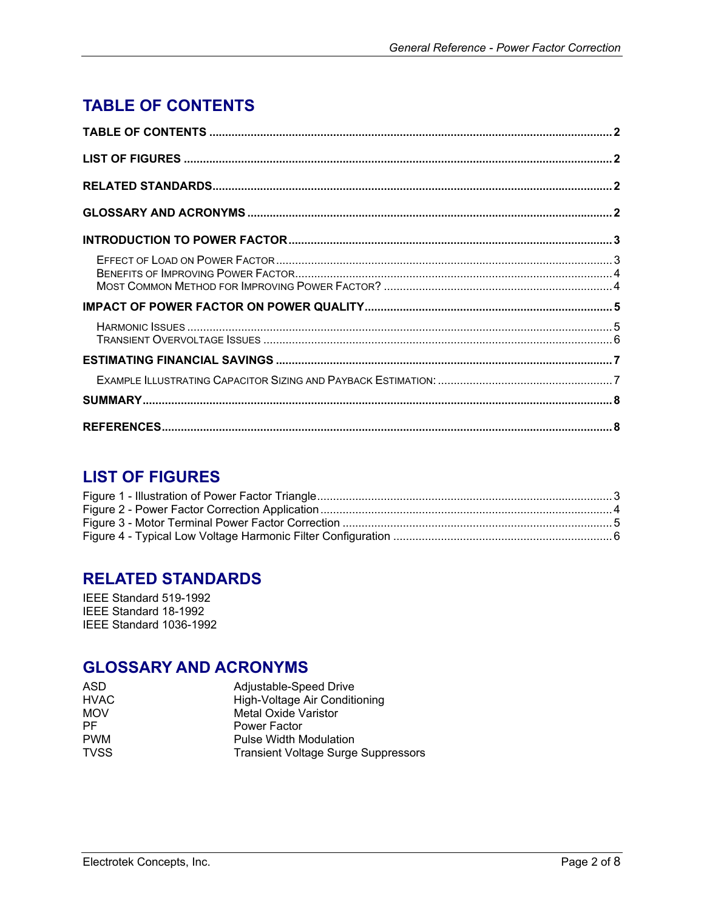# <span id="page-1-0"></span>**TABLE OF CONTENTS**

# **LIST OF FIGURES**

# **RELATED STANDARDS**

IEEE Standard 519-1992 IEEE Standard 18-1992 IEEE Standard 1036-1992

# **GLOSSARY AND ACRONYMS**

| Adjustable-Speed Drive                     |
|--------------------------------------------|
| High-Voltage Air Conditioning              |
| <b>Metal Oxide Varistor</b>                |
| <b>Power Factor</b>                        |
| <b>Pulse Width Modulation</b>              |
| <b>Transient Voltage Surge Suppressors</b> |
|                                            |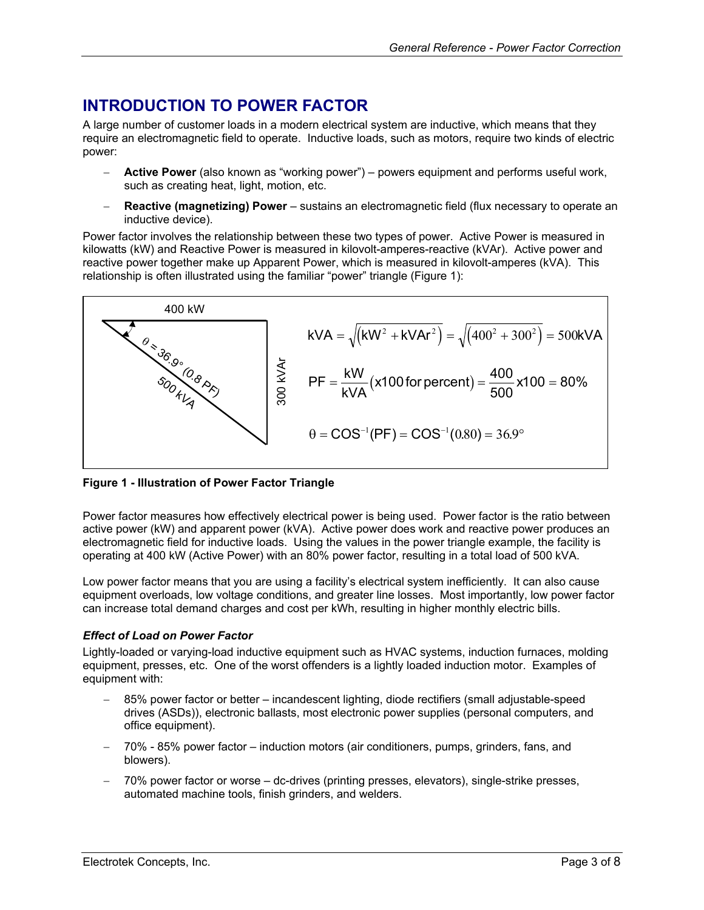# <span id="page-2-0"></span>**INTRODUCTION TO POWER FACTOR**

A large number of customer loads in a modern electrical system are inductive, which means that they require an electromagnetic field to operate. Inductive loads, such as motors, require two kinds of electric power:

- − **Active Power** (also known as "working power") powers equipment and performs useful work, such as creating heat, light, motion, etc.
- **Reactive (magnetizing) Power** sustains an electromagnetic field (flux necessary to operate an inductive device).

Power factor involves the relationship between these two types of power. Active Power is measured in kilowatts (kW) and Reactive Power is measured in kilovolt-amperes-reactive (kVAr). Active power and reactive power together make up Apparent Power, which is measured in kilovolt-amperes (kVA). This relationship is often illustrated using the familiar "power" triangle [\(Figure](#page-2-1) 1):

<span id="page-2-1"></span>

#### **Figure 1 - Illustration of Power Factor Triangle**

Power factor measures how effectively electrical power is being used. Power factor is the ratio between active power (kW) and apparent power (kVA). Active power does work and reactive power produces an electromagnetic field for inductive loads. Using the values in the power triangle example, the facility is operating at 400 kW (Active Power) with an 80% power factor, resulting in a total load of 500 kVA.

Low power factor means that you are using a facility's electrical system inefficiently. It can also cause equipment overloads, low voltage conditions, and greater line losses. Most importantly, low power factor can increase total demand charges and cost per kWh, resulting in higher monthly electric bills.

#### *Effect of Load on Power Factor*

Lightly-loaded or varying-load inductive equipment such as HVAC systems, induction furnaces, molding equipment, presses, etc. One of the worst offenders is a lightly loaded induction motor. Examples of equipment with:

- 85% power factor or better incandescent lighting, diode rectifiers (small adjustable-speed drives (ASDs)), electronic ballasts, most electronic power supplies (personal computers, and office equipment).
- − 70% 85% power factor induction motors (air conditioners, pumps, grinders, fans, and blowers).
- − 70% power factor or worse dc-drives (printing presses, elevators), single-strike presses, automated machine tools, finish grinders, and welders.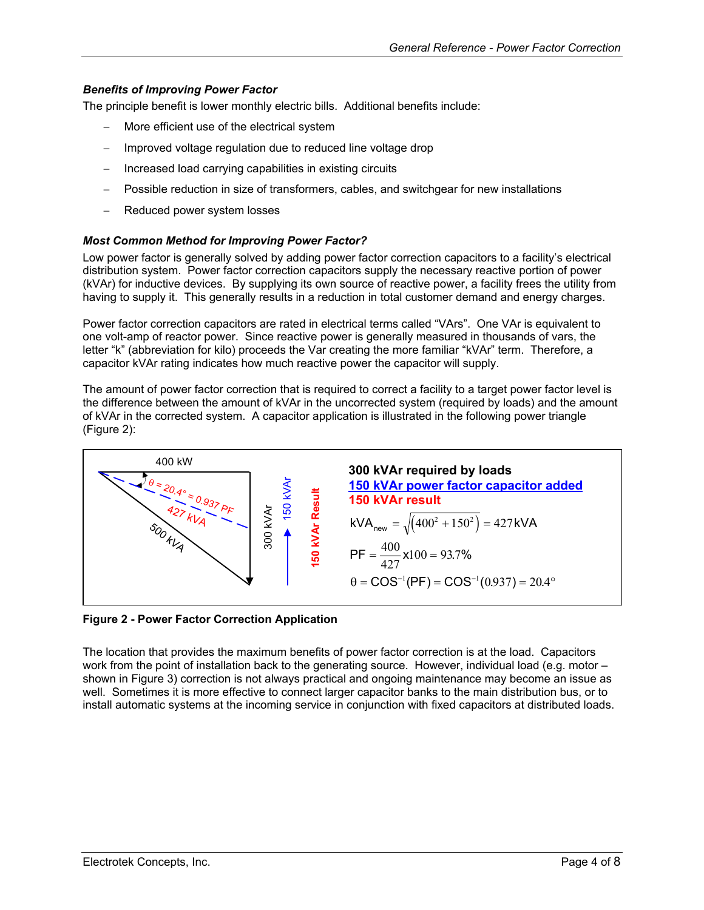#### <span id="page-3-0"></span>*Benefits of Improving Power Factor*

The principle benefit is lower monthly electric bills. Additional benefits include:

- More efficient use of the electrical system
- Improved voltage regulation due to reduced line voltage drop
- Increased load carrying capabilities in existing circuits
- Possible reduction in size of transformers, cables, and switchgear for new installations
- − Reduced power system losses

#### *Most Common Method for Improving Power Factor?*

Low power factor is generally solved by adding power factor correction capacitors to a facility's electrical distribution system. Power factor correction capacitors supply the necessary reactive portion of power (kVAr) for inductive devices. By supplying its own source of reactive power, a facility frees the utility from having to supply it. This generally results in a reduction in total customer demand and energy charges.

Power factor correction capacitors are rated in electrical terms called "VArs". One VAr is equivalent to one volt-amp of reactor power. Since reactive power is generally measured in thousands of vars, the letter "k" (abbreviation for kilo) proceeds the Var creating the more familiar "kVAr" term. Therefore, a capacitor kVAr rating indicates how much reactive power the capacitor will supply.

The amount of power factor correction that is required to correct a facility to a target power factor level is the difference between the amount of kVAr in the uncorrected system (required by loads) and the amount of kVAr in the corrected system. A capacitor application is illustrated in the following power triangle [\(Figure](#page-3-1) 2):

<span id="page-3-1"></span>

**Figure 2 - Power Factor Correction Application** 

The location that provides the maximum benefits of power factor correction is at the load. Capacitors work from the point of installation back to the generating source. However, individual load (e.g. motor – shown in [Figure 3](#page-4-1)) correction is not always practical and ongoing maintenance may become an issue as well. Sometimes it is more effective to connect larger capacitor banks to the main distribution bus, or to install automatic systems at the incoming service in conjunction with fixed capacitors at distributed loads.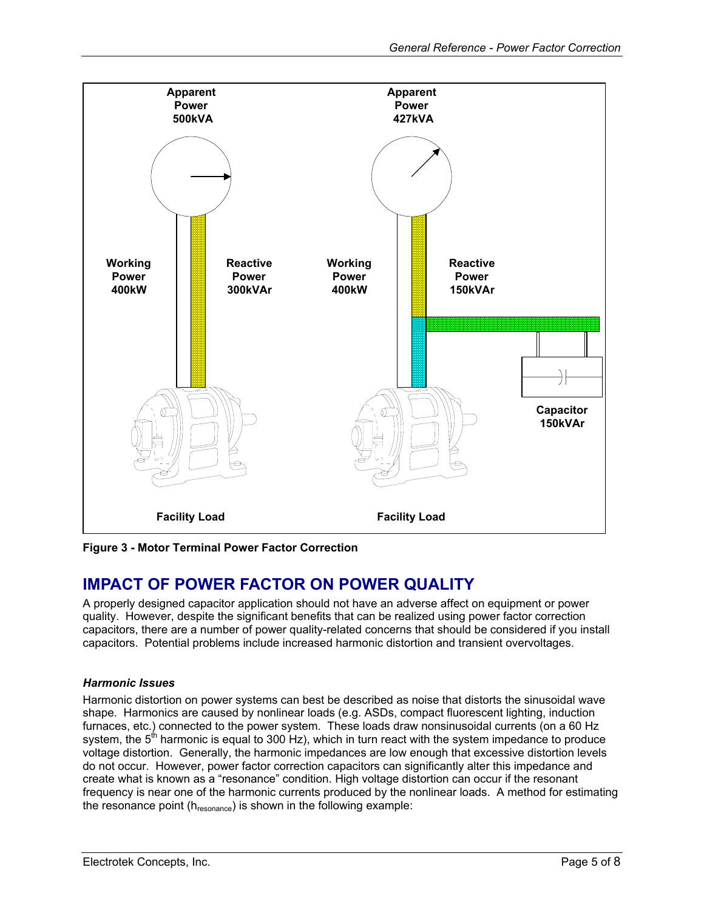<span id="page-4-1"></span><span id="page-4-0"></span>

**Figure 3 - Motor Terminal Power Factor Correction** 

# **IMPACT OF POWER FACTOR ON POWER QUALITY**

A properly designed capacitor application should not have an adverse affect on equipment or power quality. However, despite the significant benefits that can be realized using power factor correction capacitors, there are a number of power quality-related concerns that should be considered if you install capacitors. Potential problems include increased harmonic distortion and transient overvoltages.

#### *Harmonic Issues*

Harmonic distortion on power systems can best be described as noise that distorts the sinusoidal wave shape. Harmonics are caused by nonlinear loads (e.g. ASDs, compact fluorescent lighting, induction furnaces, etc.) connected to the power system. These loads draw nonsinusoidal currents (on a 60 Hz system, the  $5<sup>th</sup>$  harmonic is equal to 300 Hz), which in turn react with the system impedance to produce voltage distortion. Generally, the harmonic impedances are low enough that excessive distortion levels do not occur. However, power factor correction capacitors can significantly alter this impedance and create what is known as a "resonance" condition. High voltage distortion can occur if the resonant frequency is near one of the harmonic currents produced by the nonlinear loads. A method for estimating the resonance point (hresonance) is shown in the following example: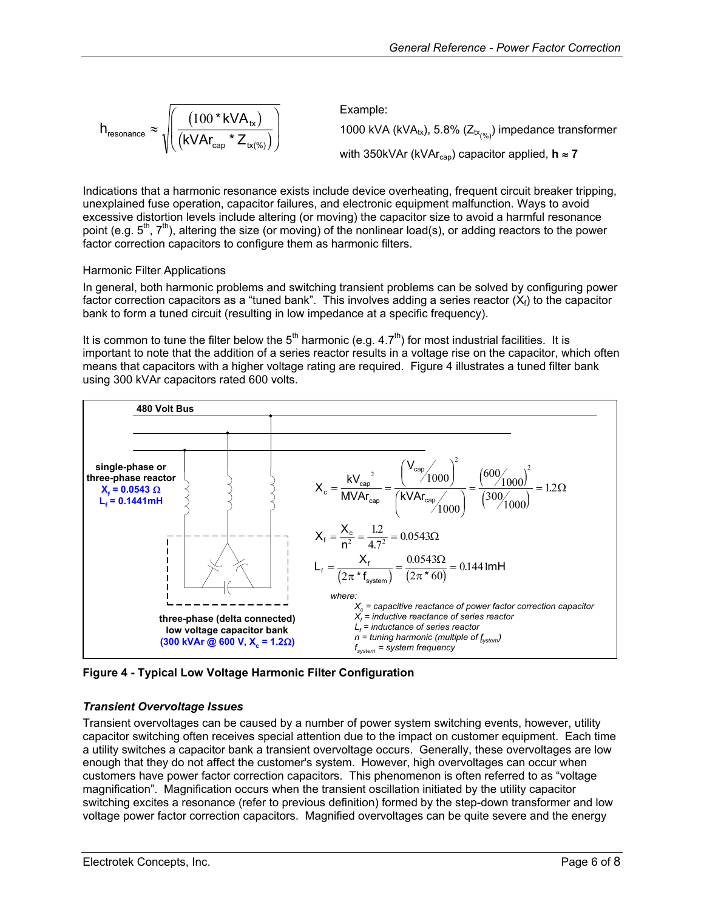<span id="page-5-0"></span>
$$
h_{\text{resonance}} \approx \sqrt{\left(\frac{(100 * kVA_{tx})}{(kVA_{cap} * Z_{tx(\%)})}\right)}
$$
\nExample:

\n
$$
1000 kVA (kVA_{tx}), 5.8\% (Z_{tx(\%)}) \text{ impedance transformer}
$$
\nwith 350kVAr (kVA<sub>cap</sub>) capacitor applied,  $\mathbf{h} \approx \mathbf{7}$ 

Indications that a harmonic resonance exists include device overheating, frequent circuit breaker tripping, unexplained fuse operation, capacitor failures, and electronic equipment malfunction. Ways to avoid excessive distortion levels include altering (or moving) the capacitor size to avoid a harmful resonance point (e.g. 5<sup>th</sup>, 7<sup>th</sup>), altering the size (or moving) of the nonlinear load(s), or adding reactors to the power factor correction capacitors to configure them as harmonic filters.

#### Harmonic Filter Applications

In general, both harmonic problems and switching transient problems can be solved by configuring power factor correction capacitors as a "tuned bank". This involves adding a series reactor  $(X_i)$  to the capacitor bank to form a tuned circuit (resulting in low impedance at a specific frequency).

It is common to tune the filter below the  $5<sup>th</sup>$  harmonic (e.g. 4.7<sup>th</sup>) for most industrial facilities. It is important to note that the addition of a series reactor results in a voltage rise on the capacitor, which often means that capacitors with a higher voltage rating are required. [Figure 4](#page-5-1) illustrates a tuned filter bank using 300 kVAr capacitors rated 600 volts.

<span id="page-5-1"></span>

**Figure 4 - Typical Low Voltage Harmonic Filter Configuration** 

#### *Transient Overvoltage Issues*

Transient overvoltages can be caused by a number of power system switching events, however, utility capacitor switching often receives special attention due to the impact on customer equipment. Each time a utility switches a capacitor bank a transient overvoltage occurs. Generally, these overvoltages are low enough that they do not affect the customer's system. However, high overvoltages can occur when customers have power factor correction capacitors. This phenomenon is often referred to as "voltage magnification". Magnification occurs when the transient oscillation initiated by the utility capacitor switching excites a resonance (refer to previous definition) formed by the step-down transformer and low voltage power factor correction capacitors. Magnified overvoltages can be quite severe and the energy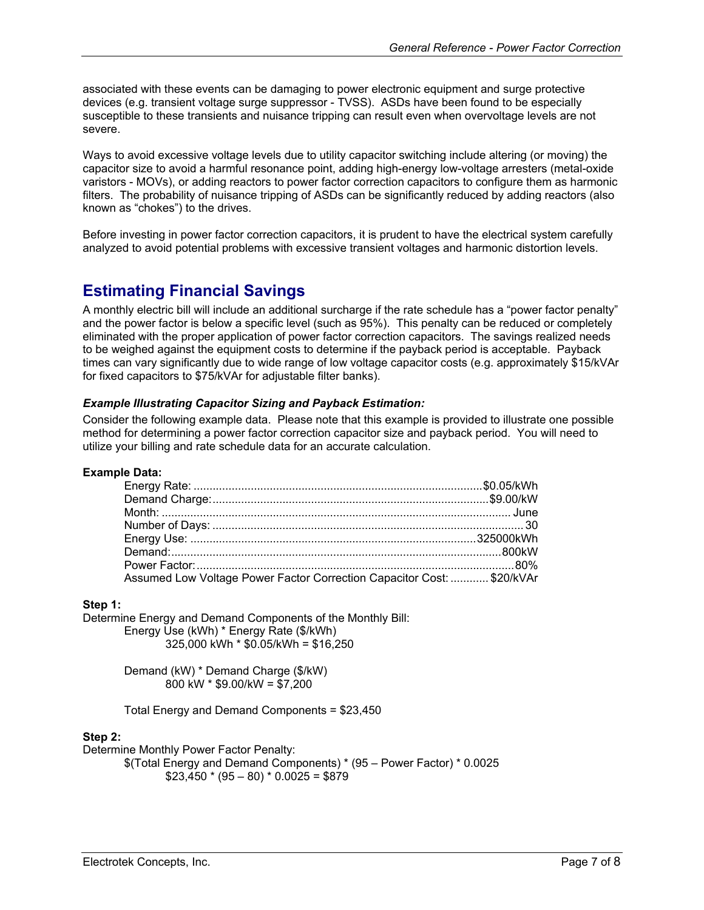<span id="page-6-0"></span>associated with these events can be damaging to power electronic equipment and surge protective devices (e.g. transient voltage surge suppressor - TVSS). ASDs have been found to be especially susceptible to these transients and nuisance tripping can result even when overvoltage levels are not severe.

Ways to avoid excessive voltage levels due to utility capacitor switching include altering (or moving) the capacitor size to avoid a harmful resonance point, adding high-energy low-voltage arresters (metal-oxide varistors - MOVs), or adding reactors to power factor correction capacitors to configure them as harmonic filters. The probability of nuisance tripping of ASDs can be significantly reduced by adding reactors (also known as "chokes") to the drives.

Before investing in power factor correction capacitors, it is prudent to have the electrical system carefully analyzed to avoid potential problems with excessive transient voltages and harmonic distortion levels.

# **Estimating Financial Savings**

A monthly electric bill will include an additional surcharge if the rate schedule has a "power factor penalty" and the power factor is below a specific level (such as 95%). This penalty can be reduced or completely eliminated with the proper application of power factor correction capacitors. The savings realized needs to be weighed against the equipment costs to determine if the payback period is acceptable. Payback times can vary significantly due to wide range of low voltage capacitor costs (e.g. approximately \$15/kVAr for fixed capacitors to \$75/kVAr for adjustable filter banks).

#### *Example Illustrating Capacitor Sizing and Payback Estimation:*

Consider the following example data. Please note that this example is provided to illustrate one possible method for determining a power factor correction capacitor size and payback period. You will need to utilize your billing and rate schedule data for an accurate calculation.

#### **Example Data:**

| Assumed Low Voltage Power Factor Correction Capacitor Cost:  \$20/kVAr |  |
|------------------------------------------------------------------------|--|

#### **Step 1:**

Determine Energy and Demand Components of the Monthly Bill: Energy Use (kWh) \* Energy Rate (\$/kWh) 325,000 kWh \* \$0.05/kWh = \$16,250

> Demand (kW) \* Demand Charge (\$/kW) 800 kW \* \$9.00/kW = \$7,200

Total Energy and Demand Components = \$23,450

#### **Step 2:**

Determine Monthly Power Factor Penalty:

\$(Total Energy and Demand Components) \* (95 – Power Factor) \* 0.0025  $$23,450 * (95 - 80) * 0.0025 = $879$